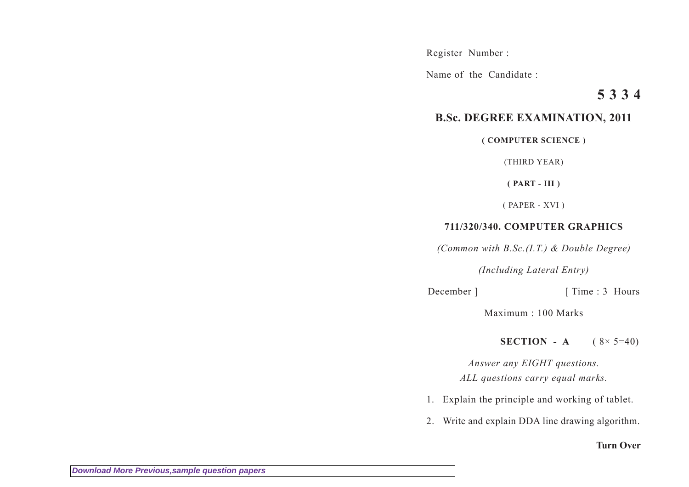Register Number :

Name of the Candidate :

## **5 3 3 4**

## **B.Sc. DEGREE EXAMINATION, 2011**

**( COMPUTER SCIENCE )**

(THIRD YEAR)

**( PART - III )**

( PAPER - XVI )

## **711/320/340. COMPUTER GRAPHICS**

*(Common with B.Sc.(I.T.) & Double Degree)*

*(Including Lateral Entry)*

December ] [ Time : 3 Hours

Maximum : 100 Marks

**SECTION** - A  $(8 \times 5 = 40)$ 

*Answer any EIGHT questions. ALL questions carry equal marks.*

- 1. Explain the principle and working of tablet.
- 2. Write and explain DDA line drawing algorithm.

## **Turn Over**